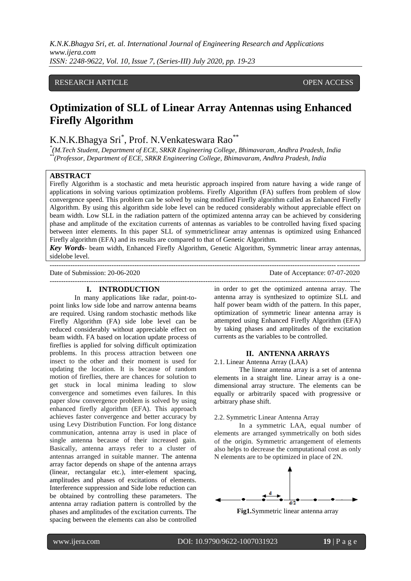*K.N.K.Bhagya Sri, et. al. International Journal of Engineering Research and Applications www.ijera.com ISSN: 2248-9622, Vol. 10, Issue 7, (Series-III) July 2020, pp. 19-23*

# RESEARCH ARTICLE **CONSERVERS** OPEN ACCESS

# **Optimization of SLL of Linear Array Antennas using Enhanced Firefly Algorithm**

# K.N.K.Bhagya Sri\*, Prof. N.Venkateswara Rao\*\*

*\* (M.Tech Student, Department of ECE, SRKR Engineering College, Bhimavaram, Andhra Pradesh, India \*\*(Professor, Department of ECE, SRKR Engineering College, Bhimavaram, Andhra Pradesh, India* 

### **ABSTRACT**

Firefly Algorithm is a stochastic and meta heuristic approach inspired from nature having a wide range of applications in solving various optimization problems. Firefly Algorithm (FA) suffers from problem of slow convergence speed. This problem can be solved by using modified Firefly algorithm called as Enhanced Firefly Algorithm. By using this algorithm side lobe level can be reduced considerably without appreciable effect on beam width. Low SLL in the radiation pattern of the optimized antenna array can be achieved by considering phase and amplitude of the excitation currents of antennas as variables to be controlled having fixed spacing between inter elements. In this paper SLL of symmetriclinear array antennas is optimized using Enhanced Firefly algorithm (EFA) and its results are compared to that of Genetic Algorithm.

*Key Words*- beam width, Enhanced Firefly Algorithm, Genetic Algorithm, Symmetric linear array antennas, sidelobe level.

---------------------------------------------------------------------------------------------------------------------------------------

Date of Submission: 20-06-2020 Date of Acceptance: 07-07-2020

#### **I. INTRODUCTION**

In many applications like radar, point-topoint links low side lobe and narrow antenna beams are required. Using random stochastic methods like Firefly Algorithm (FA) side lobe level can be reduced considerably without appreciable effect on beam width. FA based on location update process of fireflies is applied for solving difficult optimization problems. In this process attraction between one insect to the other and their moment is used for updating the location. It is because of random motion of fireflies, there are chances for solution to get stuck in local minima leading to slow convergence and sometimes even failures. In this paper slow convergence problem is solved by using enhanced firefly algorithm (EFA). This approach achieves faster convergence and better accuracy by using Levy Distribution Function. For long distance communication, antenna array is used in place of single antenna because of their increased gain. Basically, antenna arrays refer to a cluster of antennas arranged in suitable manner. The antenna array factor depends on shape of the antenna arrays (linear, rectangular etc.), inter-element spacing, amplitudes and phases of excitations of elements. Interference suppression and Side lobe reduction can be obtained by controlling these parameters. The antenna array radiation pattern is controlled by the phases and amplitudes of the excitation currents. The spacing between the elements can also be controlled

---------------------------------------------------------------------------------------------------------------------------------------

in order to get the optimized antenna array. The antenna array is synthesized to optimize SLL and half power beam width of the pattern. In this paper, optimization of symmetric linear antenna array is attempted using Enhanced Firefly Algorithm (EFA) by taking phases and amplitudes of the excitation currents as the variables to be controlled.

#### **II. ANTENNA ARRAYS**

2.1. Linear Antenna Array (LAA)

The linear antenna array is a set of antenna elements in a straight line. Linear array is a onedimensional array structure. The elements can be equally or arbitrarily spaced with progressive or arbitrary phase shift.

#### 2.2. Symmetric Linear Antenna Array

In a symmetric LAA, equal number of elements are arranged symmetrically on both sides of the origin. Symmetric arrangement of elements also helps to decrease the computational cost as only N elements are to be optimized in place of 2N.



**Fig1.**Symmetric linear antenna array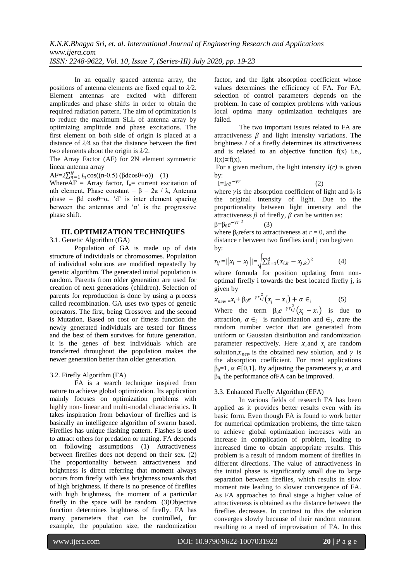In an equally spaced antenna array, the positions of antenna elements are fixed equal to *λ/*2. Element antennas are excited with different amplitudes and phase shifts in order to obtain the required radiation pattern. The aim of optimization is to reduce the maximum SLL of antenna array by optimizing amplitude and phase excitations. The first element on both side of origin is placed at a distance of *λ/*4 so that the distance between the first two elements about the origin is *λ/*2.

The Array Factor (AF) for 2N element symmetric linear antenna array

 $AF=2\sum_{n=1}^{N} I_n \cos((n-0.5) (\beta d \cos\theta + \alpha))$  (1)

WhereAF = Array factor,  $I_n$  = current excitation of nth element, Phase constant = β =  $2π / λ$ , Antenna phase =  $\beta d \cos\theta + \alpha$ . 'd' is inter element spacing between the antennas and ' $\alpha$ ' is the progressive phase shift.

## **III. OPTIMIZATION TECHNIQUES**

3.1. Genetic Algorithm (GA)

Population of GA is made up of data structure of individuals or chromosomes. Population of individual solutions are modified repeatedly by genetic algorithm. The generated initial population is random. Parents from older generation are used for creation of next generations (children). Selection of parents for reproduction is done by using a process called recombination. GA uses two types of genetic operators. The first, being Crossover and the second is Mutation. Based on cost or fitness function the newly generated individuals are tested for fitness and the best of them survives for future generation. It is the genes of best individuals which are transferred throughout the population makes the newer generation better than older generation.

## 3.2. Firefly Algorithm (FA)

FA is a search technique inspired from nature to achieve global optimization. Its application mainly focuses on optimization problems with highly non- linear and multi-modal characteristics. It takes inspiration from behaviour of fireflies and is basically an intelligence algorithm of swarm based. Fireflies has unique flashing pattern. Flashes is used to attract others for predation or mating. FA depends on following assumptions (1) Attractiveness between fireflies does not depend on their sex. (2) The proportionality between attractiveness and brightness is direct referring that moment always occurs from firefly with less brightness towards that of high brightness. If there is no presence of fireflies with high brightness, the moment of a particular firefly in the space will be random. (3)Objective function determines brightness of firefly. FA has many parameters that can be controlled, for example, the population size, the randomization

factor, and the light absorption coefficient whose values determines the efficiency of FA. For FA, selection of control parameters depends on the problem. In case of complex problems with various local optima many optimization techniques are failed.

The two important issues related to FA are attractiveness  $\beta$  and light intensity variations. The brightness *I* of a firefly determines its attractiveness and is related to an objective function f(x) i.e.,  $I(x) \propto f(x)$ .

For a given medium, the light intensity  $I(r)$  is given by:

$$
I_0 e^{-\gamma r} \tag{2}
$$

 $I=$ 

where  $\gamma$  is the absorption coefficient of light and I<sub>0</sub> is the original intensity of light. Due to the proportionality between light intensity and the attractiveness  $\beta$  of firefly,  $\beta$  can be written as: β=β<sub>0</sub>e<sup>-γr 2</sup> (3)

where  $\beta_0$  refers to attractiveness at  $r = 0$ , and the distance r between two fireflies iand j can begiven by:

$$
r_{ij} = ||x_i - x_j|| = \sqrt{\sum_{k=1}^d (x_{i,k} - x_{j,k})^2}
$$
 (4)

where formula for position updating from nonoptimal firefly i towards the best located firefly j, is given by

$$
x_{new} = x_i + \beta_0 e^{-\gamma r_{i,j}^2} \left( x_j - x_i \right) + \alpha \in_i \tag{5}
$$

Where the term  $\beta_0 e^{-\gamma r_{i,j}^2} (x_j - x_i)$  is due to attraction,  $\alpha \in_i$  is randomization and  $\epsilon_i$ ,  $\alpha$  are the random number vector that are generated from uniform or Gaussian distribution and randomization parameter respectively. Here  $x_i$  and  $x_i$  are random solution,  $x_{new}$  is the obtained new solution, and  $\gamma$  is the absorption coefficient. For most applications  $β<sub>0</sub>=1$ ,  $α ∈ [0,1]$ . By adjusting the parameters  $γ, α$  and  $β<sub>0</sub>$ , the performance of FA can be improved.

## 3.3. Enhanced Firefly Algorithm (EFA)

In various fields of research FA has been applied as it provides better results even with its basic form. Even though FA is found to work better for numerical optimization problems, the time taken to achieve global optimization increases with an increase in complication of problem, leading to increased time to obtain appropriate results. This problem is a result of random moment of fireflies in different directions. The value of attractiveness in the initial phase is significantly small due to large separation between fireflies, which results in slow moment rate leading to slower convergence of FA. As FA approaches to final stage a higher value of attractiveness is obtained as the distance between the fireflies decreases. In contrast to this the solution converges slowly because of their random moment resulting to a need of improvisation of FA. In this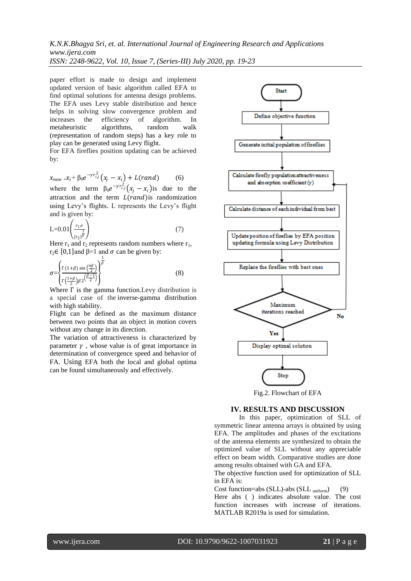*K.N.K.Bhagya Sri, et. al. International Journal of Engineering Research and Applications www.ijera.com ISSN: 2248-9622, Vol. 10, Issue 7, (Series-III) July 2020, pp. 19-23*

paper effort is made to design and implement updated version of basic algorithm called EFA to find optimal solutions for antenna design problems. The EFA uses Levy stable distribution and hence helps in solving slow convergence problem and increases the efficiency of algorithm. In metaheuristic algorithms, random walk metaheuristic algorithms, random walk (representation of random steps) has a key role to play can be generated using Levy flight.

For EFA fireflies position updating can be achieved by:

$$
x_{new} = x_i + \beta_0 e^{-\gamma r_{i,j}^2} (x_j - x_{i,j}) + L(rand) \tag{6}
$$

where the term  $\beta_0 e^{-\gamma r_{i,j}^2} (x_j - x_i)$  is due to the attraction and the term  $L(rand)$  is randomization using Levy's flights. L represents the Levy's flight and is given by:

$$
L=0.01\left(\frac{r_1\sigma}{|r_2|^{\overline{\beta}}}\right) \tag{7}
$$

Here  $r_1$  and  $r_2$  represents random numbers where  $r_1$ , r<sub>2</sub>∈ [0,1] and  $\beta$ =1 and  $\sigma$  can be given by:

$$
\sigma = \left\{ \frac{\Gamma(1+\beta)\sin\left(\frac{\pi\beta}{2}\right)}{\Gamma\left(\frac{1+\beta}{2}\right)\beta 2^{\left(\frac{\beta-1}{2}\right)}} \right\}^{\frac{1}{\beta}}
$$
(8)

Where  $\Gamma$  is the gamma function. Levy distribution is a special case of the [inverse-gamma distribution](https://en.wikipedia.org/wiki/Inverse-gamma_distribution) with high stability.

Flight can be defined as the maximum distance between two points that an object in motion covers without any change in its direction.

The variation of attractiveness is characterized by parameter  $\gamma$ , whose value is of great importance in determination of convergence speed and behavior of FA. Using EFA both the local and global optima can be found simultaneously and effectively.



#### **IV. RESULTS AND DISCUSSION**

In this paper, optimization of SLL of symmetric linear antenna arrays is obtained by using EFA. The amplitudes and phases of the excitations of the antenna elements are synthesized to obtain the optimized value of SLL without any appreciable effect on beam width. Comparative studies are done among results obtained with GA and EFA.

The objective function used for optimization of SLL in EFA is:

Cost function=abs (SLL)-abs (SLL uniform) (9) Here abs ( ) indicates absolute value. The cost function increases with increase of iterations. MATLAB R2019a is used for simulation.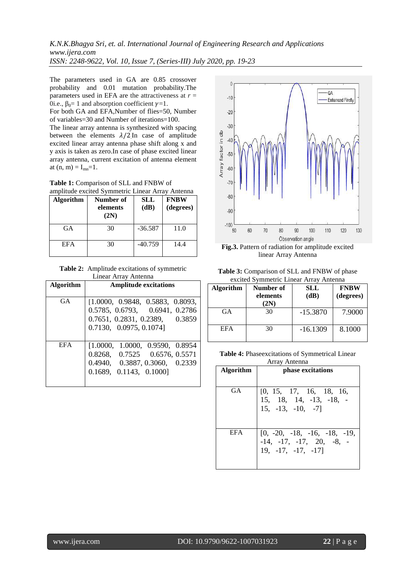*K.N.K.Bhagya Sri, et. al. International Journal of Engineering Research and Applications www.ijera.com*

*ISSN: 2248-9622, Vol. 10, Issue 7, (Series-III) July 2020, pp. 19-23*

The parameters used in GA are 0.85 crossover probability and 0.01 mutation probability.The parameters used in EFA are the attractiveness at *r* = 0i.e.,  $\beta_0 = 1$  and absorption coefficient  $\gamma = 1$ .

For both GA and EFA,Number of flies=50, Number of variables=30 and Number of iterations=100.

The linear array antenna is synthesized with spacing between the elements  $\lambda/2$  In case of amplitude excited linear array antenna phase shift along x and y axis is taken as zero.In case of phase excited linear array antenna, current excitation of antenna element at  $(n, m) = I_{mn} = 1$ .

**Table 1:** Comparison of SLL and FNBW of<br>annihinde excited Symmetric Linear Array 4

| <b>Algorithm</b> | Number of<br>elements<br>(2N) | SLL<br>(dB) | <b>FNBW</b><br>(degrees) |
|------------------|-------------------------------|-------------|--------------------------|
| GA               | 30                            | $-36.587$   | 11.0                     |
| <b>EFA</b>       | 30                            | $-40.759$   | 14.4                     |

**Table 2:** Amplitude excitations of symmetric Linear Array Antenna

| Algorithm  | <b>Amplitude excitations</b>     |
|------------|----------------------------------|
| <b>GA</b>  |                                  |
|            | [1.0000, 0.9848, 0.5883, 0.8093, |
|            | 0.5785, 0.6793, 0.6941, 0.2786   |
|            | 0.7651, 0.2831, 0.2389, 0.3859   |
|            | 0.7130, 0.0975, 0.1074           |
|            |                                  |
| <b>EFA</b> | [1.0000, 1.0000, 0.9590, 0.8954] |
|            | 0.8268, 0.7525 0.6576, 0.5571    |
|            | 0.4940, 0.3887, 0.3060, 0.2339   |
|            | 0.1689, 0.1143, 0.1000           |
|            |                                  |



**Fig.3.** Pattern of radiation for amplitude excited linear Array Antenna

**Table 3:** Comparison of SLL and FNBW of phase excited Symmetric Linear Array Antenna

| <b>Algorithm</b> | Number of<br>elements<br>$2\mathrm{N}$ | SLL<br>(dB) | <b>FNBW</b><br>(degrees) |
|------------------|----------------------------------------|-------------|--------------------------|
| GA               | 30                                     | $-15.3870$  | 7.9000                   |
| <b>EFA</b>       | 30                                     | $-16.1309$  | 8.1000                   |

**Table 4:** Phaseexcitations of Symmetrical Linear Array Antenna

| <b>Algorithm</b> | phase excitations                                                             |
|------------------|-------------------------------------------------------------------------------|
| GA               | [0, 15, 17, 16, 18, 16,<br>15, 18, 14, -13, -18, -15, -13, -10, -7            |
| EFA.             | $[0, -20, -18, -16, -18, -19,$<br>$-14, -17, -17, 20, -8, -19, -17, -17, -17$ |